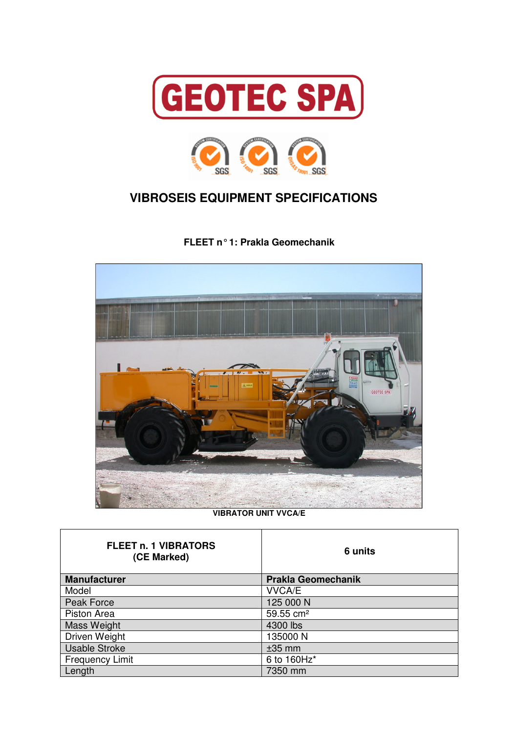



## **VIBROSEIS EQUIPMENT SPECIFICATIONS**

**FLEET n° 1: Prakla Geomechanik** 



**VIBRATOR UNIT VVCA/E** 

| <b>FLEET n. 1 VIBRATORS</b><br>(CE Marked) | 6 units                   |
|--------------------------------------------|---------------------------|
| <b>Manufacturer</b>                        | <b>Prakla Geomechanik</b> |
| Model                                      | <b>VVCA/E</b>             |
| Peak Force                                 | 125 000 N                 |
| Piston Area                                | 59.55 cm <sup>2</sup>     |
| Mass Weight                                | 4300 lbs                  |
| Driven Weight                              | 135000N                   |
| <b>Usable Stroke</b>                       | $±35$ mm                  |
| <b>Frequency Limit</b>                     | 6 to 160Hz*               |
| Length                                     | 7350 mm                   |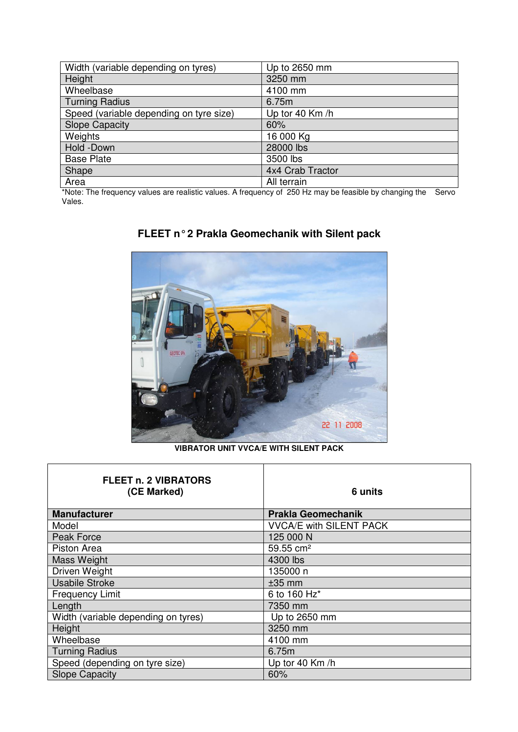| Width (variable depending on tyres)     | Up to 2650 mm    |
|-----------------------------------------|------------------|
| Height                                  | 3250 mm          |
| Wheelbase                               | 4100 mm          |
| <b>Turning Radius</b>                   | 6.75m            |
| Speed (variable depending on tyre size) | Up tor 40 Km/h   |
| <b>Slope Capacity</b>                   | 60%              |
| Weights                                 | 16 000 Kg        |
| Hold -Down                              | 28000 lbs        |
| <b>Base Plate</b>                       | 3500 lbs         |
| Shape                                   | 4x4 Crab Tractor |
| Area                                    | All terrain      |

\*Note: The frequency values are realistic values. A frequency of 250 Hz may be feasible by changing the Servo Vales.



## **FLEET n° 2 Prakla Geomechanik with Silent pack**

**VIBRATOR UNIT VVCA/E WITH SILENT PACK** 

| <b>FLEET n. 2 VIBRATORS</b><br>(CE Marked) | 6 units                        |
|--------------------------------------------|--------------------------------|
| <b>Manufacturer</b>                        | <b>Prakla Geomechanik</b>      |
| Model                                      | <b>VVCA/E with SILENT PACK</b> |
| Peak Force                                 | 125 000 N                      |
| Piston Area                                | 59.55 cm <sup>2</sup>          |
| <b>Mass Weight</b>                         | 4300 lbs                       |
| Driven Weight                              | 135000 n                       |
| <b>Usabile Stroke</b>                      | $±35$ mm                       |
| <b>Frequency Limit</b>                     | 6 to 160 Hz*                   |
| Length                                     | 7350 mm                        |
| Width (variable depending on tyres)        | Up to 2650 mm                  |
| Height                                     | 3250 mm                        |
| Wheelbase                                  | 4100 mm                        |
| <b>Turning Radius</b>                      | 6.75m                          |
| Speed (depending on tyre size)             | Up tor 40 Km /h                |
| <b>Slope Capacity</b>                      | 60%                            |